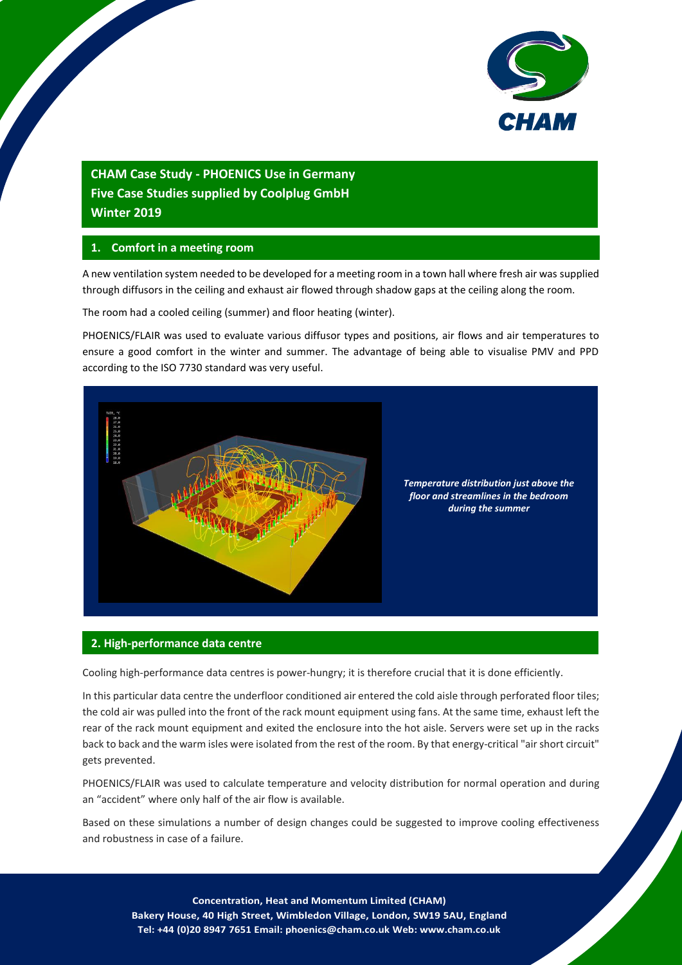

# **CHAM Case Study - PHOENICS Use in Germany Five Case Studies supplied by Coolplug GmbH Winter 2019**

# **1. Comfort in a meeting room**

A new ventilation system needed to be developed for a meeting room in a town hall where fresh air was supplied through diffusors in the ceiling and exhaust air flowed through shadow gaps at the ceiling along the room.

The room had a cooled ceiling (summer) and floor heating (winter).

PHOENICS/FLAIR was used to evaluate various diffusor types and positions, air flows and air temperatures to ensure a good comfort in the winter and summer. The advantage of being able to visualise PMV and PPD according to the ISO 7730 standard was very useful.



## **2. High-performance data centre**

Cooling high-performance data centres is power-hungry; it is therefore crucial that it is done efficiently.

In this particular data centre the underfloor conditioned air entered the cold aisle through perforated floor tiles; the cold air was pulled into the front of the rack mount equipment using fans. At the same time, exhaust left the rear of the rack mount equipment and exited the enclosure into the hot aisle. Servers were set up in the racks back to back and the warm isles were isolated from the rest of the room. By that energy-critical "airshort circuit" gets prevented.

PHOENICS/FLAIR was used to calculate temperature and velocity distribution for normal operation and during an "accident" where only half of the air flow is available.

Based on these simulations a number of design changes could be suggested to improve cooling effectiveness and robustness in case of a failure.

1 **Concentration, Heat and Momentum Limited (CHAM) Bakery House, 40 High Street, Wimbledon Village, London, SW19 5AU, England Tel: +44 (0)20 8947 7651 Email: phoenics@cham.co.uk Web: www.cham.co.uk**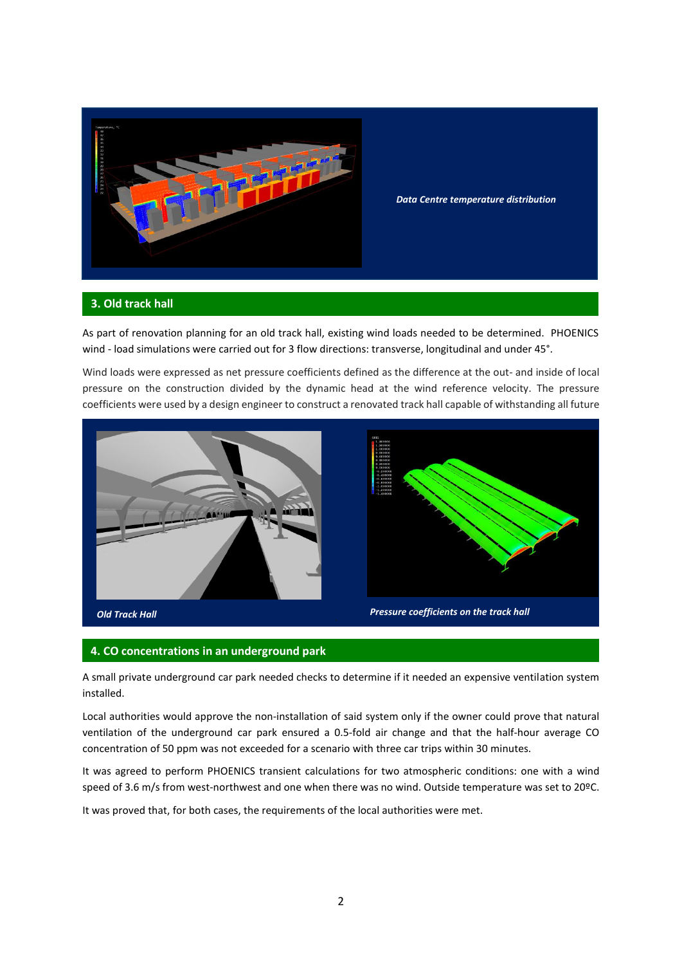

*Data Centre temperature distribution*

### **3. Old track hall**

As part of renovation planning for an old track hall, existing wind loads needed to be determined. PHOENICS wind - load simulations were carried out for 3 flow directions: transverse, longitudinal and under 45°.

Wind loads were expressed as net pressure coefficients defined as the difference at the out- and inside of local pressure on the construction divided by the dynamic head at the wind reference velocity. The pressure coefficients were used by a design engineer to construct a renovated track hall capable of withstanding all future





#### **4. CO concentrations in an underground park**

A small private underground car park needed checks to determine if it needed an expensive ventilation system installed.

Local authorities would approve the non-installation of said system only if the owner could prove that natural ventilation of the underground car park ensured a 0.5-fold air change and that the half-hour average CO concentration of 50 ppm was not exceeded for a scenario with three car trips within 30 minutes.

It was agreed to perform PHOENICS transient calculations for two atmospheric conditions: one with a wind speed of 3.6 m/s from west-northwest and one when there was no wind. Outside temperature was set to 20°C.

It was proved that, for both cases, the requirements of the local authorities were met.